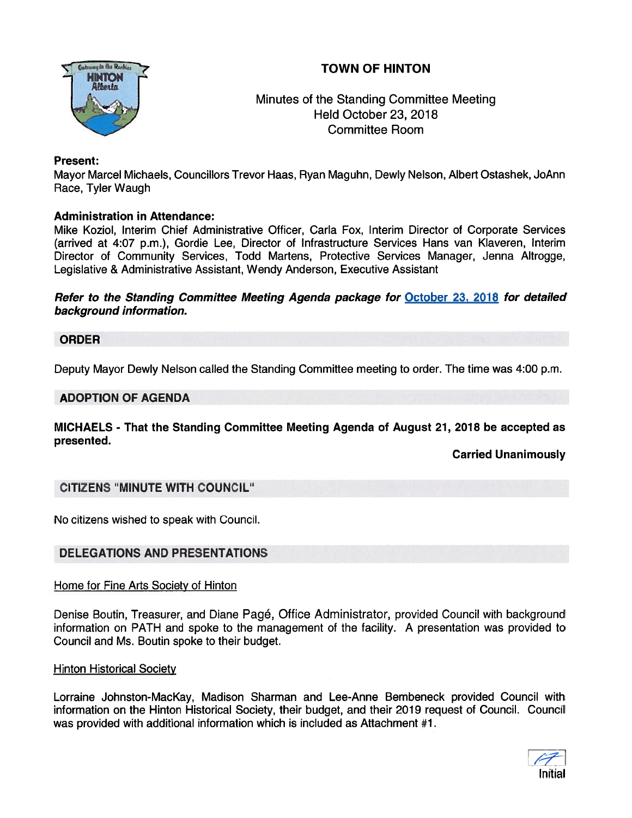# TOWN OF HINTON



## Minutes of the Standing Committee Meeting Held October 23, 2018 Committee Room

## Present:

Mayor Marcel Michaels, Councillors Trevor Haas, Ryan Maguhn, Dewly Nelson, Albert Ostashek, JoAnn Race, Tyler Waugh

## Administration in Attendance:

Mike Koziol, Interim Chief Administrative Officer, Carla Fox, Interim Director of Corporate Services (arrived at 4:07 p.m.), Gordie Lee, Director of Infrastructure Services Hans van Kiaveren, Interim Director of Community Services, Todd Martens, Protective Services Manager, Jenna Altrogge, Legislative & Administrative Assistant, Wendy Anderson, Executive Assistant

Refer to the Standing Committee Meeting Agenda package for October 23, 2078 for detailed background information.

## ORDER

Deputy Mayor Dewly Nelson called the Standing Committee meeting to order. The time was 4:00 p.m.

## ADOPTION OF AGENDA

MICHAELS - That the Standing Committee Meeting Agenda of August 21, 2018 be accepted as presented.

Carried Unanimously

## CITIZENS "MINUTE WITH COUNCIL"

No citizens wished to speak with Council.

## DELEGATIONS AND PRESENTATIONS

## Home for Fine Arts Society of Hinton

Denise Boutin, Treasurer, and Diane Page, Office Administrator, provided Council with background information on PATH and spoke to the managemen<sup>t</sup> of the facility. A presentation was provided to Council and Ms. Boutin spoke to their budget.

## Hinton Historical Society

Lorraine Johnston-MacKay, Madison Sharman and Lee-Anne Bembeneck provided Council with information on the Hinton Historical Society, their budget, and their 2019 reques<sup>t</sup> of Council. Council was provided with additional information which is included as Attachment #1.

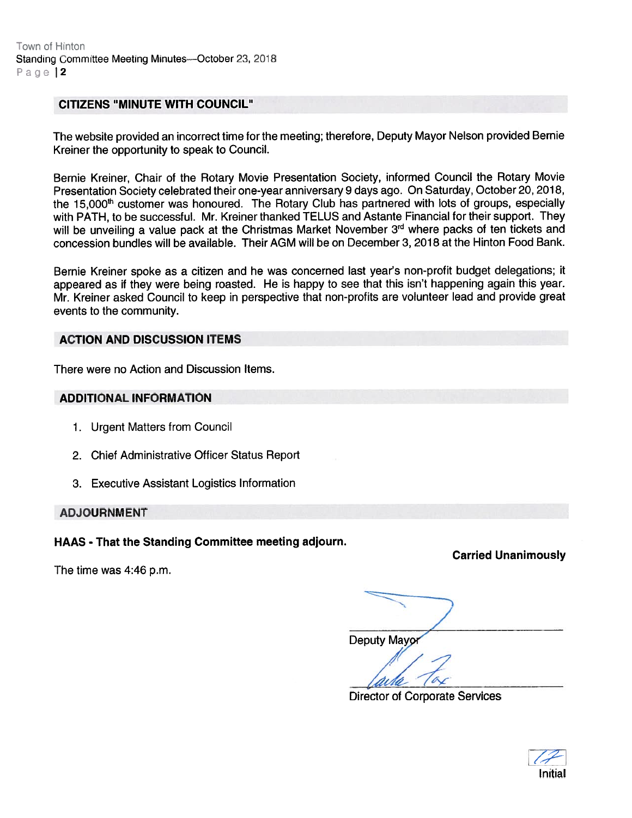#### CITIZENS "MINUTE WITH COUNCIL"

The website provided an incorrect time for the meeting; therefore, Deputy Mayor Nelson provided Bernie Kreiner the opportunity to speak to Council.

Bernie Kreiner, Chair of the Rotary Movie Presentation Society, informed Council the Rotary Movie Presentation Society celebrated their one-year anniversary <sup>9</sup> days ago. On Saturday, October 20, 2018, the 15,000<sup>th</sup> customer was honoured. The Rotary Club has partnered with lots of groups, especially with PATH, to be successful. Mr. Kreiner thanked TELUS and Astante Financial for their support. They will be unveiling a value pack at the Christmas Market November 3<sup>rd</sup> where packs of ten tickets and concession bundles will be available. Their AGM will be on December 3, 2018 at the Hinton Food Bank.

Bernie Kreiner spoke as <sup>a</sup> citizen and he was concerned last year's non-profit budget delegations; it appeare<sup>d</sup> as if they were being roasted. He is happy to see that this isn't happening again this year. Mr. Kreiner asked Council to keep in perspective that non-profits are volunteer lead and provide grea<sup>t</sup> events to the community.

#### ACTION AND DISCUSSION ITEMS

There were no Action and Discussion Items.

#### ADDITIONAL INFORMATION

- 1. Urgent Matters from Council
- 2. Chief Administrative Officer Status Report
- 3. Executive Assistant Logistics Information

ADJOURNMENT

The time was 4:46 p.m.

HAAS - That the Standing Committee meeting adjourn.

Carried Unanimously

Deputy Mayor

Director of Corporate Services

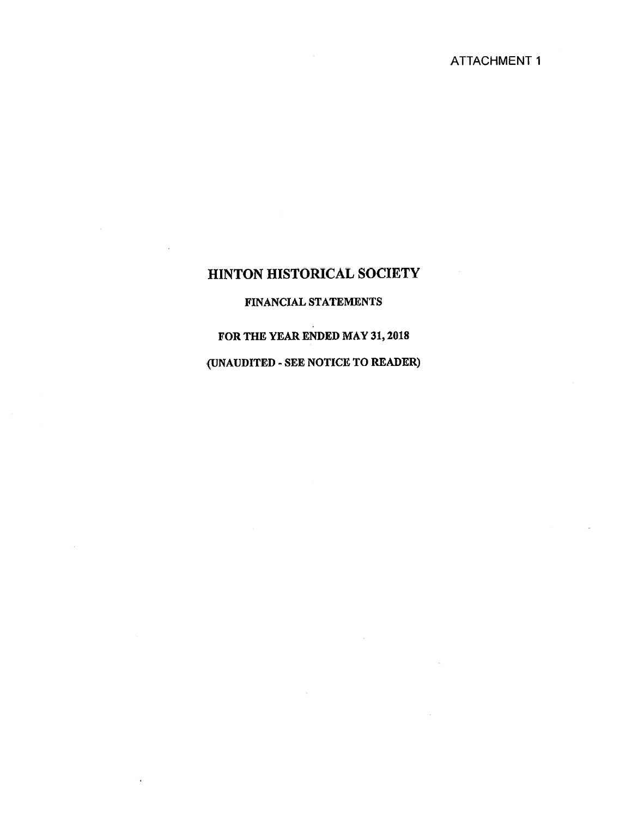## FINANCIAL STATEMENTS

## FOR THE YEAR ENDED MAY 31, 2018

## (UNAUDITED - SEE NOTICE TO READER)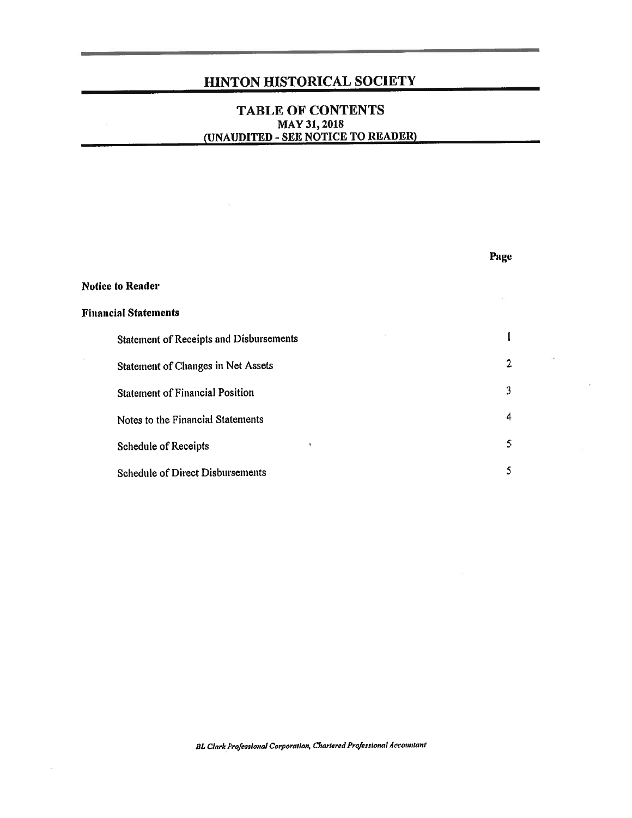## TABLE OF CONTENTS MAY 31, 2018 (UNAUDITED - SEE NOTICE TO READER)

|                                         | Page           |
|-----------------------------------------|----------------|
| <b>Notice to Reader</b>                 |                |
| <b>Financial Statements</b>             |                |
| Statement of Receipts and Disbursements |                |
| Statement of Changes in Net Assets      | $\overline{2}$ |
| <b>Statement of Financial Position</b>  | 3              |
| Notes to the Financial Statements       | 4              |
| Schedule of Receipts                    | 5              |
| Schedule of Direct Disbursements        | s              |

BL Clark Professional Corporation, Chartered Professional Accountant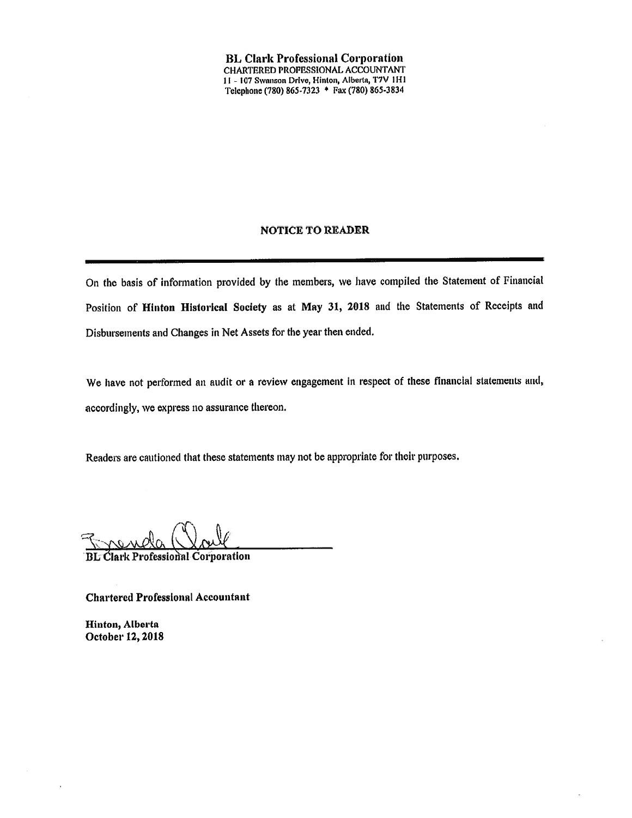**BL Clark Professional Corporation** CHARTERED PROPESSIONAL ACCOUNTANT 11 - 107 Swanson Drive, Hinton, Alberta, T7V 1H1 Telephone (780) 865-7323 + Fax (780) 865-3834

#### **NOTICE TO READER**

On the basis of information provided by the members, we have compiled the Statement of Financial Position of Hinton Historical Society as at May 31, 2018 and the Statements of Receipts and Disbursements and Changes in Net Assets for the year then ended.

We have not performed an audit or a review engagement in respect of these financial statements and, accordingly, we express no assurance thereon.

Readers are cautioned that these statements may not be appropriate for their purposes.

**BL Clark Professional Corporation** 

**Chartered Professional Accountant** 

Hinton, Alberta October 12, 2018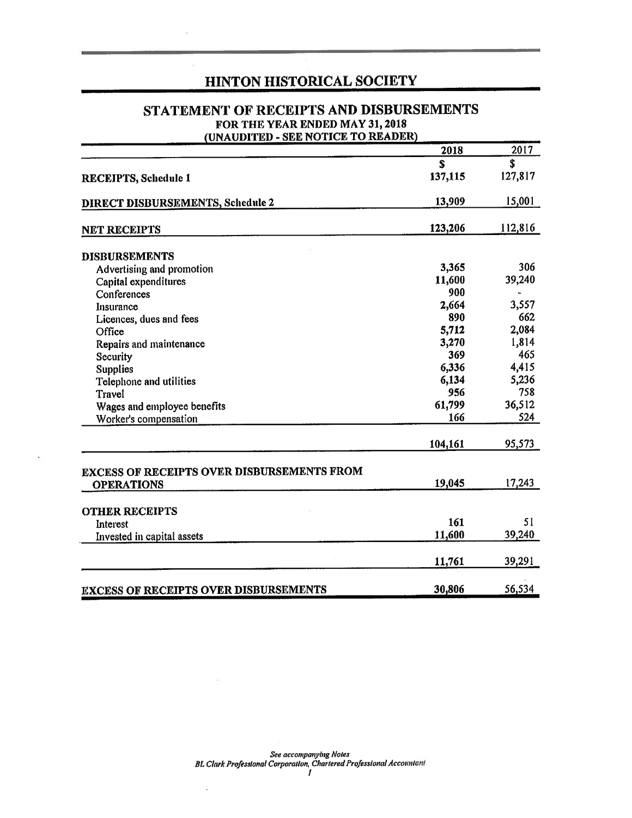## STATEMENT OF RECEIPTS AND DISBURSEMENTS FOR THE YEAR ENDED MAY 31, 2018

(UNAUDITED - SEE NOTICE TO READER)

|                                                   | 2018    | 2017    |
|---------------------------------------------------|---------|---------|
|                                                   | \$      | \$      |
| <b>RECEIPTS, Schedule 1</b>                       | 137,115 | 127,817 |
| <b>DIRECT DISBURSEMENTS, Schedule 2</b>           | 13,909  | 15,001  |
| <b>NET RECEIPTS</b>                               | 123,206 | 112,816 |
| <b>DISBURSEMENTS</b>                              |         |         |
| Advertising and promotion                         | 3,365   | 306     |
| Capital expenditures                              | 11,600  | 39,240  |
| Conferences                                       | 900     |         |
| Insurance                                         | 2,664   | 3,557   |
| Licences, dues and fees                           | 890     | 662     |
| Office                                            | 5,712   | 2,084   |
| Repairs and maintenance                           | 3,270   | 1,814   |
| Security                                          | 369     | 465     |
| <b>Supplies</b>                                   | 6,336   | 4,415   |
| Telephone and utilities                           | 6,134   | 5,236   |
| Travel                                            | 956     | 758     |
| Wages and employee benefits                       | 61,799  | 36,512  |
| Worker's compensation                             | 166     | 524     |
|                                                   | 104,161 | 95,573  |
| <b>EXCESS OF RECEIPTS OVER DISBURSEMENTS FROM</b> |         |         |
| <b>OPERATIONS</b>                                 | 19,045  | 17,243  |
| <b>OTHER RECEIPTS</b>                             |         |         |
| Interest                                          | 161     | 51      |
| Invested in capital assets                        | 11,600  | 39,240  |
|                                                   | 11,761  | 39,291  |
| <b>EXCESS OF RECEIPTS OVER DISBURSEMENTS</b>      | 30,806  | 56,534  |

 $\boldsymbol{I}$ 

 $\cdot$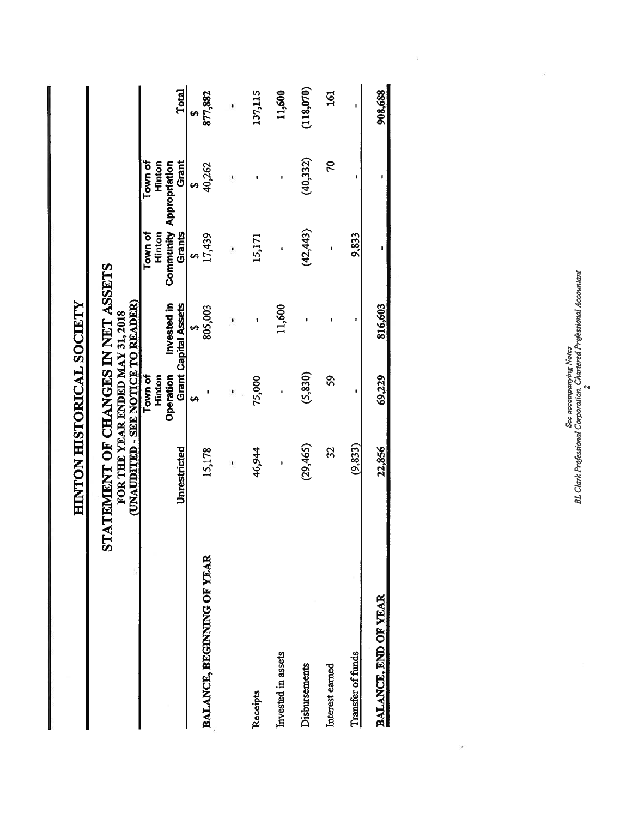|                            | HINTON HISTORICAL SOCIETY                                                |                                 |                             |                   |                                                     |              |
|----------------------------|--------------------------------------------------------------------------|---------------------------------|-----------------------------|-------------------|-----------------------------------------------------|--------------|
|                            | STATEMENT OF CHANGES IN NET ASSETS<br>(UNAUDITED - SEE NOTICE TO READER) | FOR THE YEAR ENDED MAY 31, 2018 |                             |                   |                                                     |              |
|                            |                                                                          | Town of<br>Operation<br>Hinton  | Invested in                 | Town of<br>Hinton | Town of<br><b>Community Appropriation</b><br>Hinton |              |
|                            | Unrestricted                                                             |                                 | <b>Grant Capital Assets</b> | Grants            | Grant                                               | Total        |
| BALANCE, BEGENNING OF YEAR | 15,178                                                                   | 49                              | 805,003<br>69               | 17,439<br>မာ      | 40,262                                              | 877,882<br>Ø |
|                            | I                                                                        |                                 |                             |                   |                                                     |              |
| Receipts                   | 46,944                                                                   | 75,000                          |                             | 15,171            |                                                     | 137,115      |
| Invested in assets         | $\mathbf{I}$                                                             | ł                               | 11,600                      | $\mathbf{I}$      | $\mathbf{I}$                                        | 11,600       |
| Disbursements              | (29, 465)                                                                | (5, 830)                        |                             | (42, 443)         | (40,332)                                            | (118,070)    |
| Interest earned            | 32                                                                       | \$Ş                             |                             | ţ                 | 20                                                  | 161          |
| <b>Transfer of funds</b>   | (9, 833)                                                                 |                                 |                             | 9,833             |                                                     |              |
| BALANCE, END OF YEAR       | 22,856                                                                   | 69,229                          | 816,603                     |                   |                                                     | 908,688      |
|                            |                                                                          |                                 |                             |                   |                                                     |              |

See accompanying Notes<br>BL Clark Professional Corporation, Chartered Professional Accountant BL Clark Professional Corporation, Chartered Professional Accountant See accompanying Notes

 $\overline{\phantom{a}}$ 

Ň,

 $\bar{z}$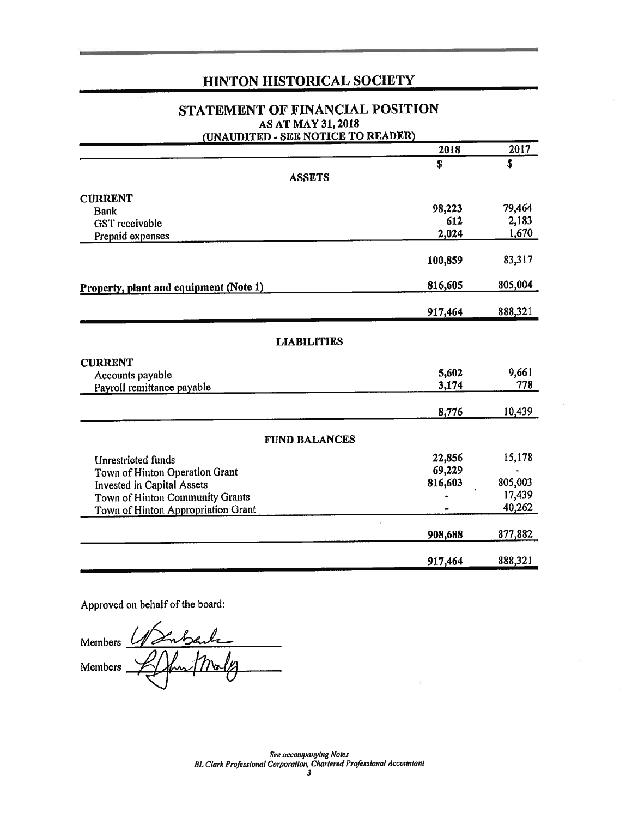## STATEMENT OF FINANCIAL POSITION AS AT MAY 31, 2018

| (UNAUDITED - SEE NOTICE TO READER)     |              |         |
|----------------------------------------|--------------|---------|
|                                        | 2018         | 2017    |
|                                        | \$           | \$      |
| <b>ASSETS</b>                          |              |         |
| <b>CURRENT</b>                         |              |         |
| <b>Bank</b>                            | 98,223       | 79,464  |
| <b>GST</b> receivable                  | 612          | 2,183   |
| Prepaid expenses                       | 2,024        | 1,670   |
|                                        | 100,859      | 83,317  |
| Property, plant and equipment (Note 1) | 816,605      | 805,004 |
|                                        | 917,464      | 888,321 |
|                                        |              |         |
| <b>LIABILITIES</b>                     |              |         |
| <b>CURRENT</b>                         |              |         |
| Accounts payable                       | 5,602        | 9,661   |
| Payroll remittance payable             | 3,174        | 778     |
|                                        | 8,776        | 10,439  |
| <b>FUND BALANCES</b>                   |              |         |
| <b>Unrestricted funds</b>              | 22,856       | 15,178  |
| Town of Hinton Operation Grant         | 69,229       |         |
| <b>Invested in Capital Assets</b>      | 816,603      | 805,003 |
| Town of Hinton Community Grants        |              | 17,439  |
| Town of Hinton Appropriation Grant     |              | 40,262  |
|                                        | g<br>908,688 | 877,882 |
|                                        | 917,464      | 888,321 |

Approved on behalf of the board:

Members  $\underline{\ell}$  $\overline{m_{\alpha}}$ Members

See accompanying Notes BL Clark Professional Corporation, Chartered Professional Accountant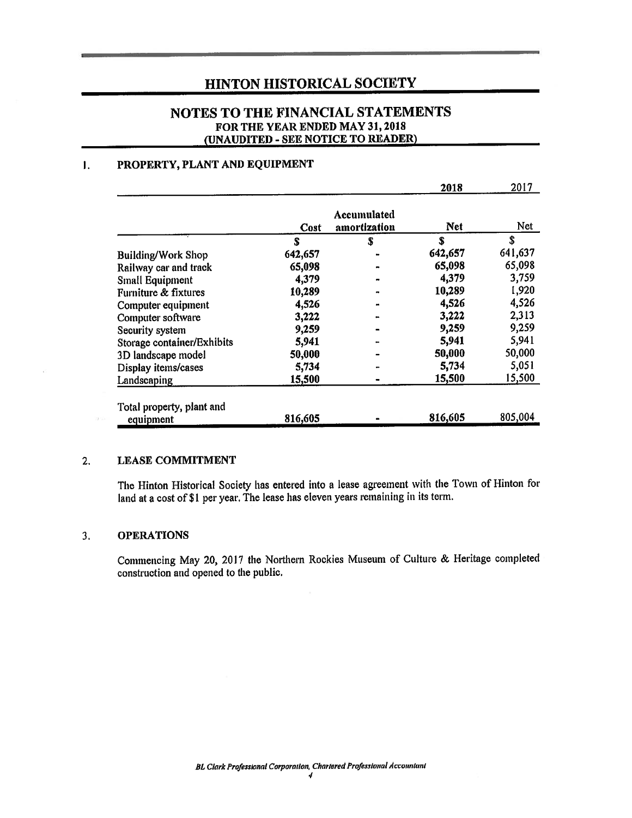## NOTES TO THE FINANCIAL STATEMENTS FOR THE YEAR ENDED MAY 31, 2018 (UNAUDITED - SEE NOTICE TO READER)

#### $\mathbf{I}$ . PROPERTY, PLANT AND EQUIPMENT

|                                        |         |                                    | 2018       | 2017    |
|----------------------------------------|---------|------------------------------------|------------|---------|
|                                        | Cost    | <b>Accumulated</b><br>amortization | <b>Net</b> | Net     |
|                                        | S       | S                                  | S          | \$      |
| <b>Building/Work Shop</b>              | 642,657 |                                    | 642,657    | 641,637 |
| Railway car and track                  | 65,098  |                                    | 65,098     | 65,098  |
| Small Equipment                        | 4,379   |                                    | 4,379      | 3,759   |
| Furniture & fixtures                   | 10,289  |                                    | 10,289     | 1,920   |
| Computer equipment                     | 4,526   |                                    | 4,526      | 4,526   |
| Computer software                      | 3,222   |                                    | 3,222      | 2,313   |
| Security system                        | 9,259   |                                    | 9,259      | 9,259   |
| Storage container/Exhibits             | 5,941   |                                    | 5,941      | 5,941   |
| 3D landscape model                     | 50,000  |                                    | 50,000     | 50,000  |
| Display items/cases                    | 5,734   |                                    | 5,734      | 5,051   |
| Landscaping                            | 15,500  |                                    | 15,500     | 15,500  |
| Total property, plant and<br>equipment | 816,605 |                                    | 816,605    | 805,004 |

#### $2.$ **LEASE COMMITMENT**

The Hinton Historical Society has entered into a lease agreement with the Town of Hinton for land at a cost of \$1 per year. The lease has eleven years remaining in its term.

#### $3.$ **OPERATIONS**

Commencing May 20, 2017 the Northern Rockies Museum of Culture & Heritage completed construction and opened to the public.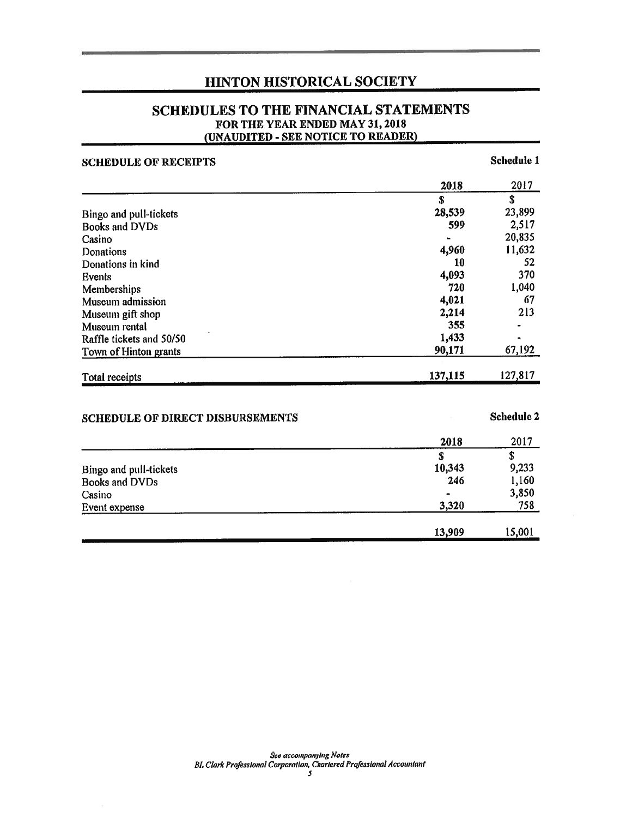## SCHEDULES TO THE FINANCIAL STATEMENTS FOR THE YEAR ENDED MAY 31, 2018 (UNAUDITED - SEE NOTICE TO READER)

| <b>SCHEDULE OF RECEIPTS</b>             |             | Schedule 1 |
|-----------------------------------------|-------------|------------|
|                                         | 2018        | 2017       |
|                                         | S           | \$         |
| Bingo and pull-tickets                  | 28,539      | 23,899     |
| <b>Books and DVDs</b>                   | 599         | 2,517      |
| Casino                                  |             | 20,835     |
| Donations                               | 4,960       | 11,632     |
| Donations in kind                       | 10          | 52         |
| Events                                  | 4,093       | 370        |
| Memberships                             | 720         | 1,040      |
| Museum admission                        | 4,021       | 67         |
| Museum gift shop                        | 2,214       | 213        |
| Museum rental                           | 355         |            |
| Raffle tickets and 50/50                | 1,433       |            |
| Town of Hinton grants                   | 90,171      | 67,192     |
| Total receipts                          | 137,115     | 127,817    |
| <b>SCHEDULE OF DIRECT DISBURSEMENTS</b> |             | Schedule 2 |
|                                         | 2018        | 2017       |
|                                         | $\mathbf S$ | \$         |
| Bingo and pull-tickets                  | 10,343      | 9,233      |
| <b>Books and DVDs</b>                   | 246         | 1,160      |
| Casino                                  |             | 3,850      |
| Event expense                           | 3,320       | 758        |
|                                         | 13,909      | 15,001     |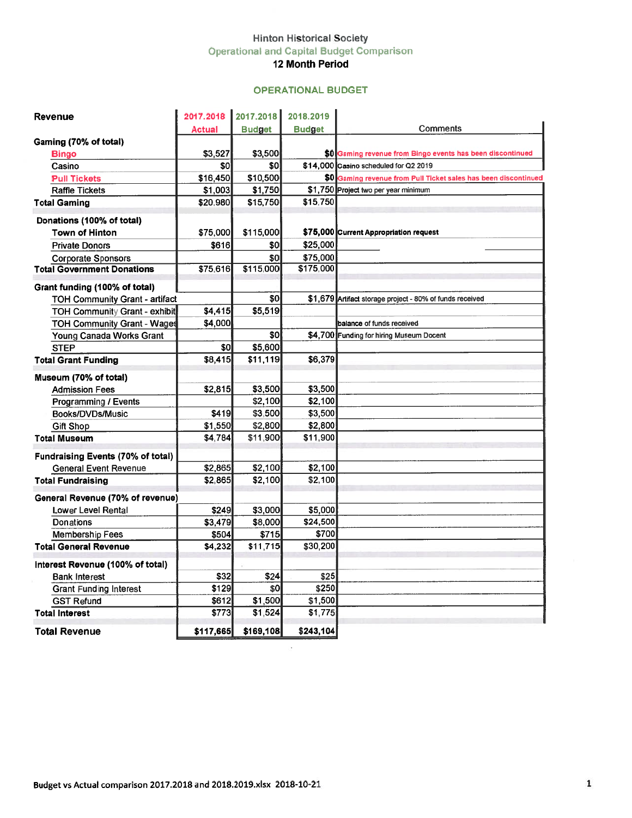#### Hinton Historical Society Operational and Capital Budget Comparison 12 Month Period

## OPERATIONAL BUDGET

|                                            |                |                    | <b>Hinton Historical Society</b> |                                                                 |
|--------------------------------------------|----------------|--------------------|----------------------------------|-----------------------------------------------------------------|
|                                            |                |                    |                                  | <b>Operational and Capital Budget Comparison</b>                |
|                                            |                |                    | <b>12 Month Period</b>           |                                                                 |
|                                            |                |                    | <b>OPERATIONAL BUDGET</b>        |                                                                 |
| <b>Revenue</b>                             | 2017.2018      | 2017.2018          | 2018.2019                        |                                                                 |
|                                            | Actual         | <b>Budget</b>      | <b>Budget</b>                    | Comments                                                        |
| Gaming (70% of total)                      |                |                    |                                  |                                                                 |
| <b>Bingo</b>                               | \$3,527        | \$3,500            |                                  | \$0 Gaming revenue from Bingo events has been discontinued      |
| Casino                                     | 80             | \$O                |                                  | \$14,000 Casino scheduled for Q2 2019                           |
| <b>Pull Tickets</b>                        | \$16,450       | \$10,500           |                                  | \$0 Gaming revenue from Pull Ticket sales has been discontinued |
| <b>Raffle Tickets</b>                      | \$1,003        | \$1,750            |                                  | \$1,750 Project two per year minimum                            |
| <b>Total Gaming</b>                        | \$20,980       | \$15,750           | \$15.750                         |                                                                 |
| Donations (100% of total)                  |                |                    |                                  |                                                                 |
| <b>Town of Hinton</b>                      | \$75,000       | \$115,000          |                                  | \$75,000 Current Appropriation request                          |
| <b>Private Donors</b>                      | \$616          | \$0l               | \$25,000                         |                                                                 |
| <b>Corporate Sponsors</b>                  |                | \$0                | \$75,000                         |                                                                 |
| <b>Total Government Donations</b>          | \$75,616       | \$115,000          | \$175,000                        |                                                                 |
| Grant funding (100% of total)              |                |                    |                                  |                                                                 |
| <b>TOH Community Grant - artifact</b>      |                | 30                 |                                  | \$1,679 Artifact storage project - 80% of funds received        |
| <b>TOH Community Grant - exhibit</b>       | \$4,415        | \$5,519            |                                  |                                                                 |
| <b>TOH Community Grant - Wages</b>         | \$4,000        |                    |                                  | balance of funds received                                       |
| Young Canada Works Grant                   |                | \$0                |                                  | \$4,700 Funding for hiring Museum Docent                        |
| <b>STEP</b>                                | \$0            | \$5,600            |                                  |                                                                 |
| <b>Total Grant Funding</b>                 | \$8,415        | \$11,119           | \$6,379                          |                                                                 |
| Museum (70% of total)                      |                |                    |                                  |                                                                 |
| <b>Admission Fees</b>                      | \$2,815        | \$3,500            | \$3,500                          |                                                                 |
| <b>Programming / Events</b>                |                | \$2,100            | \$2,100                          |                                                                 |
| Books/DVDs/Music                           | \$419          | \$3,500            | \$3,500                          |                                                                 |
| Gift Shop                                  | \$1,550        | \$2,800            | \$2,800                          |                                                                 |
| <b>Total Museum</b>                        | \$4,784        | \$11,900           | \$11,900                         |                                                                 |
| Fundraising Events (70% of total)          |                |                    |                                  |                                                                 |
| <b>General Event Revenue</b>               | \$2,865        | \$2,100            | \$2,100                          |                                                                 |
| <b>Total Fundraising</b>                   | \$2,865        | \$2,100            | \$2,100                          |                                                                 |
| General Revenue (70% of revenue)           |                |                    |                                  |                                                                 |
| Lower Level Rental                         | \$249          | \$3,000            | \$5,000                          |                                                                 |
| Donations                                  | \$3,479        | \$8,000            | \$24,500                         |                                                                 |
| Membership Fees                            | \$504          | \$715              | \$700                            |                                                                 |
| <b>Total General Revenue</b>               | \$4,232        | \$11,715           | \$30,200                         |                                                                 |
|                                            |                |                    |                                  |                                                                 |
| Interest Revenue (100% of total)           |                |                    |                                  |                                                                 |
| <b>Bank Interest</b>                       | \$32<br>\$129  | \$24               | \$25<br>\$250                    |                                                                 |
| <b>Grant Funding Interest</b>              |                | \$0                | \$1,500                          |                                                                 |
| <b>GST Refund</b><br><b>Total Interest</b> | \$612<br>\$773 | \$1,500<br>\$1,524 | \$1,775                          |                                                                 |
|                                            |                |                    |                                  |                                                                 |
| <b>Total Revenue</b>                       | \$117,665      | \$169,108          | \$243,104                        |                                                                 |

 $\alpha$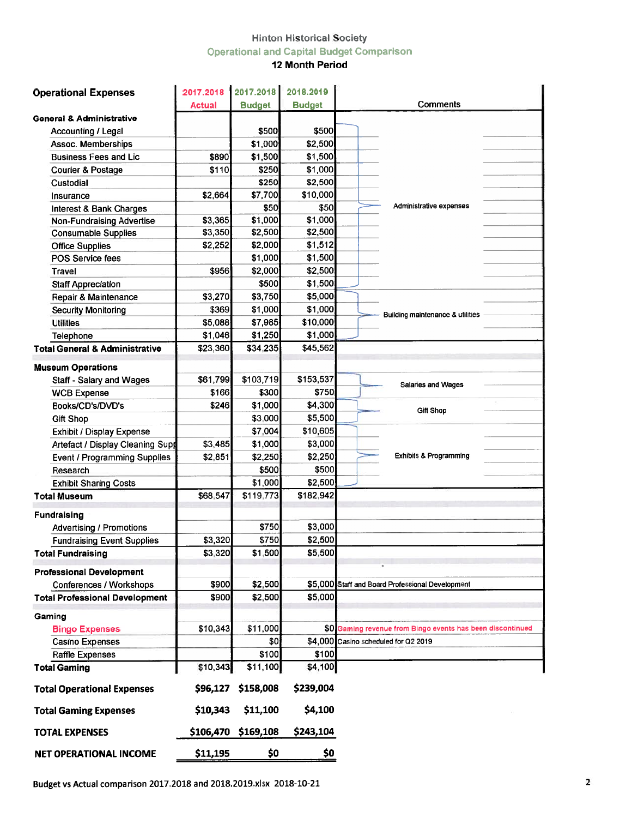# **Hinton Historical Society Operational and Capital Budget Comparison**

## 12 Month Period

| <b>Operational Expenses</b>               | 2017.2018     | 2017.2018     | 2018.2019     |                                                            |
|-------------------------------------------|---------------|---------------|---------------|------------------------------------------------------------|
|                                           | <b>Actual</b> | <b>Budget</b> | <b>Budget</b> | Comments                                                   |
| <b>General &amp; Administrative</b>       |               |               |               |                                                            |
| <b>Accounting / Legal</b>                 |               | \$500         | \$500         |                                                            |
| <b>Assoc. Memberships</b>                 |               | \$1,000       | \$2,500       |                                                            |
| <b>Business Fees and Lic</b>              | \$890         | \$1,500       | \$1,500       |                                                            |
| <b>Courier &amp; Postage</b>              | \$110         | \$250         | \$1,000       |                                                            |
| Custodial                                 |               | \$250         | \$2,500       |                                                            |
| Insurance                                 | \$2,664       | \$7,700       | \$10,000      |                                                            |
| <b>Interest &amp; Bank Charges</b>        |               | \$50          | \$50          | Administrative expenses                                    |
| <b>Non-Fundraising Advertise</b>          | \$3,365       | \$1,000       | \$1,000       |                                                            |
| <b>Consumable Supplies</b>                | \$3,350       | \$2,500       | \$2,500       |                                                            |
| <b>Office Supplies</b>                    | \$2,252       | \$2,000       | \$1,512       |                                                            |
| POS Service fees                          |               | \$1,000       | \$1,500       |                                                            |
| Travel                                    | \$956         | \$2,000       | \$2,500       |                                                            |
| <b>Staff Appreciation</b>                 |               | \$500         | \$1,500       |                                                            |
| Repair & Maintenance                      | \$3,270       | \$3,750       | \$5,000       |                                                            |
| <b>Security Monitoring</b>                | \$369         | \$1,000       | \$1,000       |                                                            |
| <b>Utilities</b>                          | \$5,088       | \$7,985       | \$10,000      | Building maintenance & utilities                           |
| Telephone                                 | \$1,046       | \$1,250       | \$1,000       |                                                            |
| <b>Total General &amp; Administrative</b> | \$23,360      | \$34,235      | \$45,562      |                                                            |
|                                           |               |               |               |                                                            |
| <b>Museum Operations</b>                  |               |               |               |                                                            |
| <b>Staff - Salary and Wages</b>           | \$61,799      | \$103,719     | \$153,537     | Salaries and Wages                                         |
| <b>WCB Expense</b>                        | \$166         | \$300         | \$750         |                                                            |
| Books/CD's/DVD's                          | \$246         | \$1,000       | \$4,300       | Gift Shop                                                  |
| <b>Gift Shop</b>                          |               | \$3,000       | \$5,500       |                                                            |
| <b>Exhibit / Display Expense</b>          |               | \$7,004       | \$10,605      |                                                            |
| Artefact / Display Cleaning Supp          | \$3,485       | \$1,000       | \$3,000       |                                                            |
| Event / Programming Supplies              | \$2,851       | \$2,250       | \$2,250       | <b>Exhibits &amp; Programming</b>                          |
| Research                                  |               | \$500         | \$500         |                                                            |
| <b>Exhibit Sharing Costs</b>              |               | \$1,000       | \$2,500       |                                                            |
| <b>Total Museum</b>                       | \$68,547      | \$119,773     | \$182,942     |                                                            |
| <b>Fundraising</b>                        |               |               |               |                                                            |
| <b>Advertising / Promotions</b>           |               | \$750         | \$3,000       |                                                            |
| <b>Fundraising Event Supplies</b>         | \$3,320       | \$750         | \$2,500       |                                                            |
| <b>Total Fundraising</b>                  | \$3,320       | \$1,500       | \$5,500       |                                                            |
|                                           |               |               |               |                                                            |
| <b>Professional Development</b>           |               |               |               |                                                            |
| <b>Conferences / Workshops</b>            | \$900         | \$2,500       |               | \$5,000 Staff and Board Professional Development           |
| <b>Total Professional Development</b>     | \$900         | \$2,500       | \$5,000       |                                                            |
| Gaming                                    |               |               |               |                                                            |
| <b>Bingo Expenses</b>                     | \$10,343      | \$11,000      |               | \$0 Gaming revenue from Bingo events has been discontinued |
| <b>Casino Expenses</b>                    |               | \$0           |               | \$4,000 Casino scheduled for Q2 2019                       |
| <b>Raffle Expenses</b>                    |               | \$100         | \$100         |                                                            |
| <b>Total Gaming</b>                       | \$10,343      | \$11,100      | \$4,100       |                                                            |
| <b>Total Operational Expenses</b>         | \$96,127      | \$158,008     | \$239,004     |                                                            |
| <b>Total Gaming Expenses</b>              | \$10,343      | \$11,100      | \$4,100       |                                                            |
| <b>TOTAL EXPENSES</b>                     | \$106,470     | \$169,108     | \$243,104     |                                                            |
|                                           |               |               |               |                                                            |
| <b>NET OPERATIONAL INCOME</b>             | \$11,195      | \$0           | \$0           |                                                            |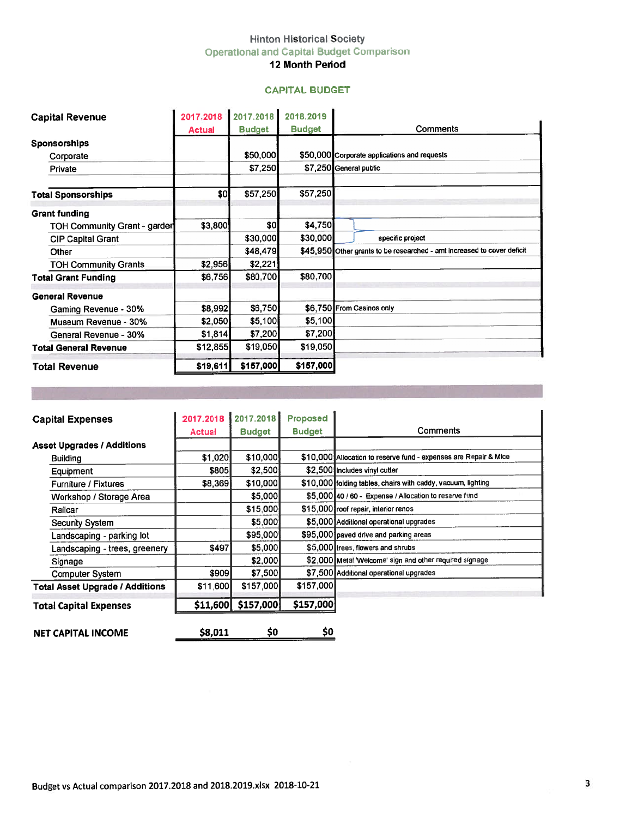## Hinton Historical Society Operational and Capital Budget Comparison

## 12 Month Period

#### CAPITAL BUDGET

| <b>Hinton Historical Society</b><br><b>Operational and Capital Budget Comparison</b><br>12 Month Period<br><b>CAPITAL BUDGET</b><br>2017.2018 2017.2018<br>2018.2019<br><b>Capital Revenue</b><br>Comments<br><b>Budget</b><br><b>Budget</b><br><b>Actual</b><br><b>Sponsorships</b><br>\$50,000<br>\$50,000 Corporate applications and requests<br>Corporate<br>\$7,250<br>\$7,250 General public<br>Private<br>\$57,250<br>\$0<br>\$57,250<br>\$4,750<br>\$0]<br>\$3,800<br><b>TOH Community Grant - garder</b><br>\$30,000<br>\$30,000<br>specific project<br><b>CIP Capital Grant</b><br>\$45,950 Other grants to be researched - amt increased to cover deficit<br>\$48,479<br>Other<br>\$2,221<br>\$2,956<br><b>TOH Community Grants</b><br>\$80,700<br>\$6,756<br>\$80,700<br><b>General Revenue</b><br>\$6,750<br>\$6,750 From Casinos only<br>\$8,992<br>Gaming Revenue - 30%<br>\$5,100<br>\$5,100<br>\$2,050<br>Museum Revenue - 30%<br>\$7,200<br>\$7,200<br>\$1,814<br>General Revenue - 30%<br>\$19,050<br>\$19,050<br>\$12,855<br><b>Total General Revenue</b><br>\$157,000<br>\$157,000<br>\$19,611<br><b>Total Revenue</b><br>2017.2018<br>Proposed<br>2017.2018<br><b>Capital Expenses</b><br>Comments<br><b>Budget</b><br><b>Budget</b><br><b>Actual</b><br><b>Asset Upgrades / Additions</b><br>\$10,000 Allocation to reserve fund - expenses are Repair & Mtce<br>\$1,020<br>\$10,000<br><b>Building</b><br>\$805<br>\$2,500<br>\$2,500 Includes vinyl cutter |                            |       |         |                                         |
|-------------------------------------------------------------------------------------------------------------------------------------------------------------------------------------------------------------------------------------------------------------------------------------------------------------------------------------------------------------------------------------------------------------------------------------------------------------------------------------------------------------------------------------------------------------------------------------------------------------------------------------------------------------------------------------------------------------------------------------------------------------------------------------------------------------------------------------------------------------------------------------------------------------------------------------------------------------------------------------------------------------------------------------------------------------------------------------------------------------------------------------------------------------------------------------------------------------------------------------------------------------------------------------------------------------------------------------------------------------------------------------------------------------------------------------------------------------------------------------|----------------------------|-------|---------|-----------------------------------------|
|                                                                                                                                                                                                                                                                                                                                                                                                                                                                                                                                                                                                                                                                                                                                                                                                                                                                                                                                                                                                                                                                                                                                                                                                                                                                                                                                                                                                                                                                                     |                            |       |         |                                         |
|                                                                                                                                                                                                                                                                                                                                                                                                                                                                                                                                                                                                                                                                                                                                                                                                                                                                                                                                                                                                                                                                                                                                                                                                                                                                                                                                                                                                                                                                                     |                            |       |         |                                         |
|                                                                                                                                                                                                                                                                                                                                                                                                                                                                                                                                                                                                                                                                                                                                                                                                                                                                                                                                                                                                                                                                                                                                                                                                                                                                                                                                                                                                                                                                                     |                            |       |         |                                         |
|                                                                                                                                                                                                                                                                                                                                                                                                                                                                                                                                                                                                                                                                                                                                                                                                                                                                                                                                                                                                                                                                                                                                                                                                                                                                                                                                                                                                                                                                                     |                            |       |         |                                         |
|                                                                                                                                                                                                                                                                                                                                                                                                                                                                                                                                                                                                                                                                                                                                                                                                                                                                                                                                                                                                                                                                                                                                                                                                                                                                                                                                                                                                                                                                                     |                            |       |         |                                         |
|                                                                                                                                                                                                                                                                                                                                                                                                                                                                                                                                                                                                                                                                                                                                                                                                                                                                                                                                                                                                                                                                                                                                                                                                                                                                                                                                                                                                                                                                                     |                            |       |         |                                         |
|                                                                                                                                                                                                                                                                                                                                                                                                                                                                                                                                                                                                                                                                                                                                                                                                                                                                                                                                                                                                                                                                                                                                                                                                                                                                                                                                                                                                                                                                                     |                            |       |         |                                         |
|                                                                                                                                                                                                                                                                                                                                                                                                                                                                                                                                                                                                                                                                                                                                                                                                                                                                                                                                                                                                                                                                                                                                                                                                                                                                                                                                                                                                                                                                                     |                            |       |         |                                         |
|                                                                                                                                                                                                                                                                                                                                                                                                                                                                                                                                                                                                                                                                                                                                                                                                                                                                                                                                                                                                                                                                                                                                                                                                                                                                                                                                                                                                                                                                                     |                            |       |         |                                         |
|                                                                                                                                                                                                                                                                                                                                                                                                                                                                                                                                                                                                                                                                                                                                                                                                                                                                                                                                                                                                                                                                                                                                                                                                                                                                                                                                                                                                                                                                                     |                            |       |         |                                         |
|                                                                                                                                                                                                                                                                                                                                                                                                                                                                                                                                                                                                                                                                                                                                                                                                                                                                                                                                                                                                                                                                                                                                                                                                                                                                                                                                                                                                                                                                                     |                            |       |         |                                         |
|                                                                                                                                                                                                                                                                                                                                                                                                                                                                                                                                                                                                                                                                                                                                                                                                                                                                                                                                                                                                                                                                                                                                                                                                                                                                                                                                                                                                                                                                                     | <b>Total Sponsorships</b>  |       |         |                                         |
|                                                                                                                                                                                                                                                                                                                                                                                                                                                                                                                                                                                                                                                                                                                                                                                                                                                                                                                                                                                                                                                                                                                                                                                                                                                                                                                                                                                                                                                                                     | <b>Grant funding</b>       |       |         |                                         |
|                                                                                                                                                                                                                                                                                                                                                                                                                                                                                                                                                                                                                                                                                                                                                                                                                                                                                                                                                                                                                                                                                                                                                                                                                                                                                                                                                                                                                                                                                     |                            |       |         |                                         |
|                                                                                                                                                                                                                                                                                                                                                                                                                                                                                                                                                                                                                                                                                                                                                                                                                                                                                                                                                                                                                                                                                                                                                                                                                                                                                                                                                                                                                                                                                     |                            |       |         |                                         |
|                                                                                                                                                                                                                                                                                                                                                                                                                                                                                                                                                                                                                                                                                                                                                                                                                                                                                                                                                                                                                                                                                                                                                                                                                                                                                                                                                                                                                                                                                     |                            |       |         |                                         |
|                                                                                                                                                                                                                                                                                                                                                                                                                                                                                                                                                                                                                                                                                                                                                                                                                                                                                                                                                                                                                                                                                                                                                                                                                                                                                                                                                                                                                                                                                     |                            |       |         |                                         |
|                                                                                                                                                                                                                                                                                                                                                                                                                                                                                                                                                                                                                                                                                                                                                                                                                                                                                                                                                                                                                                                                                                                                                                                                                                                                                                                                                                                                                                                                                     | <b>Total Grant Funding</b> |       |         |                                         |
|                                                                                                                                                                                                                                                                                                                                                                                                                                                                                                                                                                                                                                                                                                                                                                                                                                                                                                                                                                                                                                                                                                                                                                                                                                                                                                                                                                                                                                                                                     |                            |       |         |                                         |
|                                                                                                                                                                                                                                                                                                                                                                                                                                                                                                                                                                                                                                                                                                                                                                                                                                                                                                                                                                                                                                                                                                                                                                                                                                                                                                                                                                                                                                                                                     |                            |       |         |                                         |
|                                                                                                                                                                                                                                                                                                                                                                                                                                                                                                                                                                                                                                                                                                                                                                                                                                                                                                                                                                                                                                                                                                                                                                                                                                                                                                                                                                                                                                                                                     |                            |       |         |                                         |
|                                                                                                                                                                                                                                                                                                                                                                                                                                                                                                                                                                                                                                                                                                                                                                                                                                                                                                                                                                                                                                                                                                                                                                                                                                                                                                                                                                                                                                                                                     |                            |       |         |                                         |
|                                                                                                                                                                                                                                                                                                                                                                                                                                                                                                                                                                                                                                                                                                                                                                                                                                                                                                                                                                                                                                                                                                                                                                                                                                                                                                                                                                                                                                                                                     |                            |       |         |                                         |
|                                                                                                                                                                                                                                                                                                                                                                                                                                                                                                                                                                                                                                                                                                                                                                                                                                                                                                                                                                                                                                                                                                                                                                                                                                                                                                                                                                                                                                                                                     |                            |       |         |                                         |
|                                                                                                                                                                                                                                                                                                                                                                                                                                                                                                                                                                                                                                                                                                                                                                                                                                                                                                                                                                                                                                                                                                                                                                                                                                                                                                                                                                                                                                                                                     |                            |       |         |                                         |
|                                                                                                                                                                                                                                                                                                                                                                                                                                                                                                                                                                                                                                                                                                                                                                                                                                                                                                                                                                                                                                                                                                                                                                                                                                                                                                                                                                                                                                                                                     |                            |       |         |                                         |
|                                                                                                                                                                                                                                                                                                                                                                                                                                                                                                                                                                                                                                                                                                                                                                                                                                                                                                                                                                                                                                                                                                                                                                                                                                                                                                                                                                                                                                                                                     |                            |       |         |                                         |
|                                                                                                                                                                                                                                                                                                                                                                                                                                                                                                                                                                                                                                                                                                                                                                                                                                                                                                                                                                                                                                                                                                                                                                                                                                                                                                                                                                                                                                                                                     |                            |       |         |                                         |
|                                                                                                                                                                                                                                                                                                                                                                                                                                                                                                                                                                                                                                                                                                                                                                                                                                                                                                                                                                                                                                                                                                                                                                                                                                                                                                                                                                                                                                                                                     |                            |       |         |                                         |
|                                                                                                                                                                                                                                                                                                                                                                                                                                                                                                                                                                                                                                                                                                                                                                                                                                                                                                                                                                                                                                                                                                                                                                                                                                                                                                                                                                                                                                                                                     |                            |       |         |                                         |
|                                                                                                                                                                                                                                                                                                                                                                                                                                                                                                                                                                                                                                                                                                                                                                                                                                                                                                                                                                                                                                                                                                                                                                                                                                                                                                                                                                                                                                                                                     |                            |       |         |                                         |
|                                                                                                                                                                                                                                                                                                                                                                                                                                                                                                                                                                                                                                                                                                                                                                                                                                                                                                                                                                                                                                                                                                                                                                                                                                                                                                                                                                                                                                                                                     |                            |       |         |                                         |
| Equipment<br>\$10,000 folding tables, chairs with caddy, vacuum, lighting<br>\$8,369<br>\$10,000                                                                                                                                                                                                                                                                                                                                                                                                                                                                                                                                                                                                                                                                                                                                                                                                                                                                                                                                                                                                                                                                                                                                                                                                                                                                                                                                                                                    |                            |       |         |                                         |
| Furniture / Fixtures<br>\$5,000<br>\$5,000 40 / 60 - Expense / Allocation to reserve fund                                                                                                                                                                                                                                                                                                                                                                                                                                                                                                                                                                                                                                                                                                                                                                                                                                                                                                                                                                                                                                                                                                                                                                                                                                                                                                                                                                                           |                            |       |         |                                         |
| Workshop / Storage Area<br>\$15,000<br>\$15,000 roof repair, interior renos                                                                                                                                                                                                                                                                                                                                                                                                                                                                                                                                                                                                                                                                                                                                                                                                                                                                                                                                                                                                                                                                                                                                                                                                                                                                                                                                                                                                         |                            |       |         |                                         |
| Railcar<br>\$5,000<br>\$5,000 Additional operational upgrades                                                                                                                                                                                                                                                                                                                                                                                                                                                                                                                                                                                                                                                                                                                                                                                                                                                                                                                                                                                                                                                                                                                                                                                                                                                                                                                                                                                                                       |                            |       |         |                                         |
| <b>Security System</b><br>\$95,000<br>\$95,000 paved drive and parking areas                                                                                                                                                                                                                                                                                                                                                                                                                                                                                                                                                                                                                                                                                                                                                                                                                                                                                                                                                                                                                                                                                                                                                                                                                                                                                                                                                                                                        |                            |       |         |                                         |
| Landscaping - parking lot<br>\$5,000<br>\$5,000 trees, flowers and shrubs<br>\$497                                                                                                                                                                                                                                                                                                                                                                                                                                                                                                                                                                                                                                                                                                                                                                                                                                                                                                                                                                                                                                                                                                                                                                                                                                                                                                                                                                                                  |                            |       |         |                                         |
| Landscaping - trees, greenery<br>\$2,000<br>\$2,000 Metal 'Welcome' sign and other required signage                                                                                                                                                                                                                                                                                                                                                                                                                                                                                                                                                                                                                                                                                                                                                                                                                                                                                                                                                                                                                                                                                                                                                                                                                                                                                                                                                                                 |                            |       |         |                                         |
| Signage                                                                                                                                                                                                                                                                                                                                                                                                                                                                                                                                                                                                                                                                                                                                                                                                                                                                                                                                                                                                                                                                                                                                                                                                                                                                                                                                                                                                                                                                             |                            |       |         |                                         |
|                                                                                                                                                                                                                                                                                                                                                                                                                                                                                                                                                                                                                                                                                                                                                                                                                                                                                                                                                                                                                                                                                                                                                                                                                                                                                                                                                                                                                                                                                     | <b>Computer System</b>     | \$909 | \$7,500 | \$7,500 Additional operational upgrades |

| <b>Capital Expenses</b>                | 2017.2018     | 2017.2018     | Proposed      |                                                                  |
|----------------------------------------|---------------|---------------|---------------|------------------------------------------------------------------|
|                                        | <b>Actual</b> | <b>Budget</b> | <b>Budget</b> | Comments                                                         |
| <b>Asset Upgrades / Additions</b>      |               |               |               |                                                                  |
| <b>Building</b>                        | \$1,020       | \$10,000      |               | \$10,000 Allocation to reserve fund - expenses are Repair & Mtce |
| Equipment                              | <b>\$805</b>  | \$2,500       |               | \$2,500 Includes vinyl cutter                                    |
| <b>Furniture / Fixtures</b>            | \$8,369       | \$10,000      |               | \$10,000 folding tables, chairs with caddy, vacuum, lighting     |
| Workshop / Storage Area                |               | \$5,000       |               | \$5,000 40 / 60 - Expense / Allocation to reserve fund           |
| Railcar                                |               | \$15,000      |               | \$15,000 roof repair, interior renos                             |
| Security System                        |               | \$5,000       |               | \$5,000 Additional operational upgrades                          |
| Landscaping - parking lot              |               | \$95,000      |               | \$95,000 paved drive and parking areas                           |
| Landscaping - trees, greenery          | \$497         | \$5,000       |               | \$5,000 trees, flowers and shrubs                                |
| Signage                                |               | \$2,000       |               | \$2,000 Metal 'Welcome' sign and other required signage          |
| <b>Computer System</b>                 | \$909         | \$7,500       |               | \$7,500 Additional operational upgrades                          |
| <b>Total Asset Upgrade / Additions</b> | \$11,600      | \$157,000     | \$157,000     |                                                                  |
| <b>Total Capital Expenses</b>          | \$11,600      | \$157,000     | \$157,000     |                                                                  |
| <b>NET CAPITAL INCOME</b>              | \$8,011       | S0            | \$0           |                                                                  |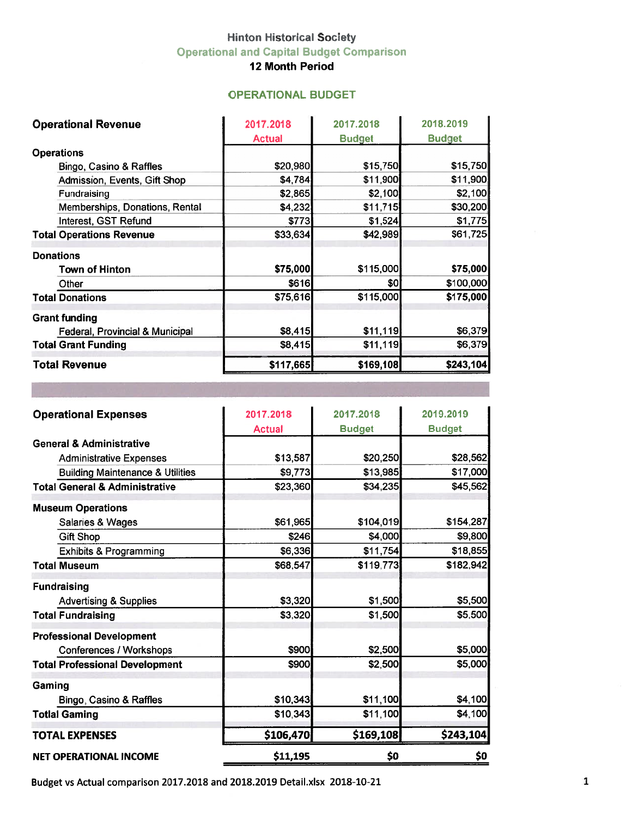# **Hinton Historical Society Operational and Capital Budget Comparison**

12 Month Period

## **OPERATIONAL BUDGET**

| <b>Operational Revenue</b>      | 2017.2018     | 2017.2018     | 2018.2019     |
|---------------------------------|---------------|---------------|---------------|
|                                 | <b>Actual</b> | <b>Budget</b> | <b>Budget</b> |
| <b>Operations</b>               |               |               |               |
| Bingo, Casino & Raffles         | \$20,980      | \$15,750      | \$15,750      |
| Admission, Events, Gift Shop    | \$4,784       | \$11,900      | \$11,900      |
| <b>Fundraising</b>              | \$2,865       | \$2,100       | \$2,100       |
| Memberships, Donations, Rental  | \$4,232       | \$11,715      | \$30,200      |
| Interest, GST Refund            | \$773         | \$1,524       | \$1,775       |
| <b>Total Operations Revenue</b> | \$33,634      | \$42,989      | \$61,725      |
| <b>Donations</b>                |               |               |               |
| <b>Town of Hinton</b>           | \$75,000      | \$115,000     | \$75,000      |
| Other                           | \$616         | \$0l          | \$100,000     |
| <b>Total Donations</b>          | \$75,616      | \$115,000     | \$175,000     |
| <b>Grant funding</b>            |               |               |               |
| Federal, Provincial & Municipal | \$8,415       | \$11,119      | \$6,379       |
| <b>Total Grant Funding</b>      | \$8,415       | \$11,119      | \$6,379       |
| <b>Total Revenue</b>            | \$117,665     | \$169,108     | \$243,104     |

| <b>Operational Expenses</b>                 | 2017.2018     | 2017.2018     | 2019.2019     |
|---------------------------------------------|---------------|---------------|---------------|
|                                             | <b>Actual</b> | <b>Budget</b> | <b>Budget</b> |
| <b>General &amp; Administrative</b>         |               |               |               |
| <b>Administrative Expenses</b>              | \$13,587      | \$20,250      | \$28,562      |
| <b>Building Maintenance &amp; Utilities</b> | \$9,773       | \$13,985      | \$17,000      |
| <b>Total General &amp; Administrative</b>   | \$23,360      | \$34,235      | \$45,562      |
| <b>Museum Operations</b>                    |               |               |               |
| Salaries & Wages                            | \$61,965      | \$104,019     | \$154,287     |
| <b>Gift Shop</b>                            | \$246         | \$4,000       | \$9,800       |
| <b>Exhibits &amp; Programming</b>           | \$6,336       | \$11,754      | \$18,855      |
| <b>Total Museum</b>                         | \$68,547      | \$119,773     | \$182,942     |
| <b>Fundraising</b>                          |               |               |               |
| <b>Advertising &amp; Supplies</b>           | \$3,320       | \$1,500       | \$5,500       |
| <b>Total Fundraising</b>                    | \$3,320       | \$1,500       | \$5,500       |
| <b>Professional Development</b>             |               |               |               |
| Conferences / Workshops                     | \$900         | \$2,500       | \$5,000       |
| <b>Total Professional Development</b>       | \$900         | \$2,500       | \$5,000       |
| Gaming                                      |               |               |               |
| Bingo, Casino & Raffles                     | \$10,343      | \$11,100      | \$4,100       |
| <b>Totlal Gaming</b>                        | \$10,343      | \$11,100      | \$4,100       |
| <b>TOTAL EXPENSES</b>                       | \$106,470     | \$169,108     | \$243,104     |
| <b>NET OPERATIONAL INCOME</b>               | \$11,195      | \$0           | \$0           |

Budget vs Actual comparison 2017.2018 and 2018.2019 Detail.xlsx 2018-10-21